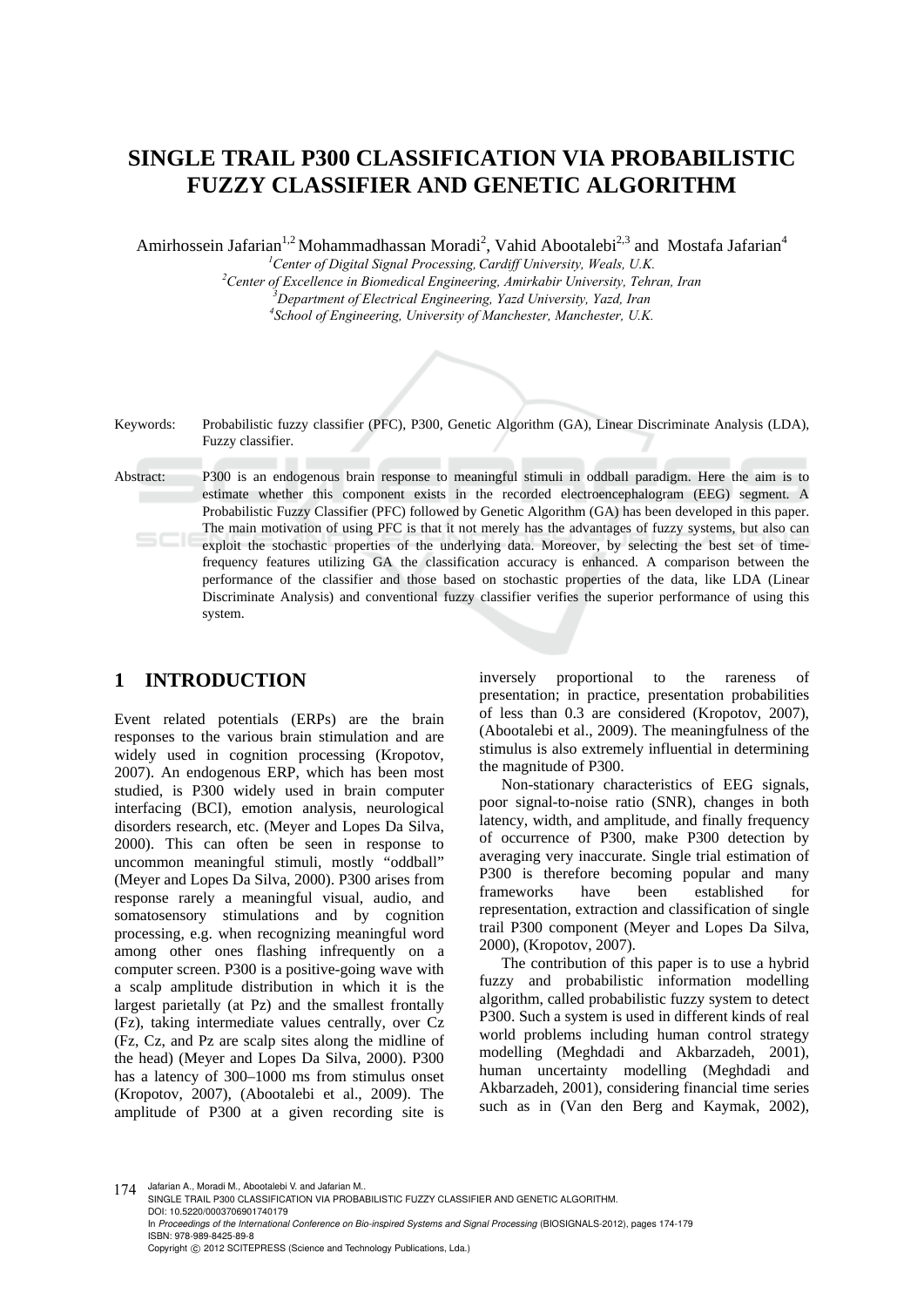# **SINGLE TRAIL P300 CLASSIFICATION VIA PROBABILISTIC FUZZY CLASSIFIER AND GENETIC ALGORITHM**

Amirhossein Jafarian<sup>1,2</sup> Mohammadhassan Moradi<sup>2</sup>, Vahid Abootalebi<sup>2,3</sup> and Mostafa Jafarian<sup>4</sup>

<sup>1</sup> Center of Digital Signal Processing, Cardiff University, Weals, U.K.<br><sup>2</sup> Center of Exacllance in Biomedical Engineering, Amirkabin University, Tahu <sup>2</sup> Center of Excellence in Biomedical Engineering, Amirkabir University, Tehran, Iran

<sup>3</sup><br>*Department of Electrical Engineering, Yazd University, Yazd, Iran* 

*School of Engineering, University of Manchester, Manchester, U.K.*

Keywords: Probabilistic fuzzy classifier (PFC), P300, Genetic Algorithm (GA), Linear Discriminate Analysis (LDA), Fuzzy classifier.

Abstract: P300 is an endogenous brain response to meaningful stimuli in oddball paradigm. Here the aim is to estimate whether this component exists in the recorded electroencephalogram (EEG) segment. A Probabilistic Fuzzy Classifier (PFC) followed by Genetic Algorithm (GA) has been developed in this paper. The main motivation of using PFC is that it not merely has the advantages of fuzzy systems, but also can exploit the stochastic properties of the underlying data. Moreover, by selecting the best set of timefrequency features utilizing GA the classification accuracy is enhanced. A comparison between the performance of the classifier and those based on stochastic properties of the data, like LDA (Linear Discriminate Analysis) and conventional fuzzy classifier verifies the superior performance of using this system.

# **1 INTRODUCTION**

Event related potentials (ERPs) are the brain responses to the various brain stimulation and are widely used in cognition processing (Kropotov, 2007). An endogenous ERP, which has been most studied, is P300 widely used in brain computer interfacing (BCI), emotion analysis, neurological disorders research, etc. (Meyer and Lopes Da Silva, 2000). This can often be seen in response to uncommon meaningful stimuli, mostly "oddball" (Meyer and Lopes Da Silva, 2000). P300 arises from response rarely a meaningful visual, audio, and somatosensory stimulations and by cognition processing, e.g. when recognizing meaningful word among other ones flashing infrequently on a computer screen. P300 is a positive-going wave with a scalp amplitude distribution in which it is the largest parietally (at Pz) and the smallest frontally (Fz), taking intermediate values centrally, over Cz (Fz, Cz, and Pz are scalp sites along the midline of the head) (Meyer and Lopes Da Silva, 2000). P300 has a latency of 300–1000 ms from stimulus onset (Kropotov, 2007), (Abootalebi et al., 2009). The amplitude of P300 at a given recording site is

inversely proportional to the rareness of presentation; in practice, presentation probabilities of less than 0.3 are considered (Kropotov, 2007), (Abootalebi et al., 2009). The meaningfulness of the stimulus is also extremely influential in determining the magnitude of P300.

Non-stationary characteristics of EEG signals, poor signal-to-noise ratio (SNR), changes in both latency, width, and amplitude, and finally frequency of occurrence of P300, make P300 detection by averaging very inaccurate. Single trial estimation of P300 is therefore becoming popular and many frameworks have been established for representation, extraction and classification of single trail P300 component (Meyer and Lopes Da Silva, 2000), (Kropotov, 2007).

The contribution of this paper is to use a hybrid fuzzy and probabilistic information modelling algorithm, called probabilistic fuzzy system to detect P300. Such a system is used in different kinds of real world problems including human control strategy modelling (Meghdadi and Akbarzadeh, 2001), human uncertainty modelling (Meghdadi and Akbarzadeh, 2001), considering financial time series such as in (Van den Berg and Kaymak, 2002),

174 Jafarian A., Moradi M., Abootalebi V. and Jafarian M..

SINGLE TRAIL P300 CLASSIFICATION VIA PROBABILISTIC FUZZY CLASSIFIER AND GENETIC ALGORITHM. DOI: 10.5220/0003706901740179 In *Proceedings of the International Conference on Bio-inspired Systems and Signal Processing* (BIOSIGNALS-2012), pages 174-179 ISBN: 978-989-8425-89-8 Copyright © 2012 SCITEPRESS (Science and Technology Publications, Lda.)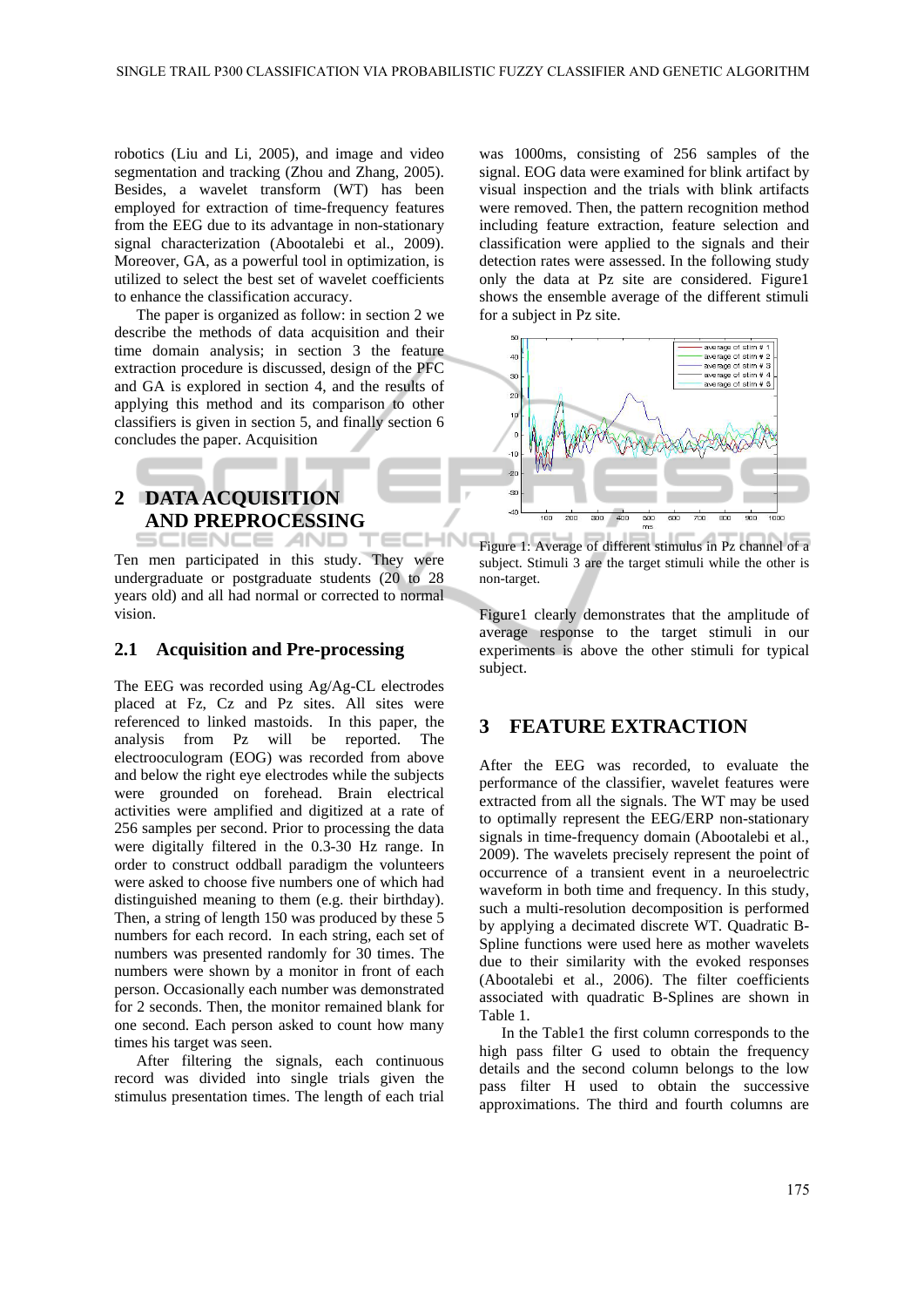**HNI** 

robotics (Liu and Li, 2005), and image and video segmentation and tracking (Zhou and Zhang, 2005). Besides, a wavelet transform (WT) has been employed for extraction of time-frequency features from the EEG due to its advantage in non-stationary signal characterization (Abootalebi et al., 2009). Moreover, GA, as a powerful tool in optimization, is utilized to select the best set of wavelet coefficients to enhance the classification accuracy.

The paper is organized as follow: in section 2 we describe the methods of data acquisition and their time domain analysis; in section 3 the feature extraction procedure is discussed, design of the PFC and GA is explored in section 4, and the results of applying this method and its comparison to other classifiers is given in section 5, and finally section 6 concludes the paper. Acquisition

# **2 DATA ACQUISITION AND PREPROCESSING**  ;CIENCE *A*ND

Ten men participated in this study. They were undergraduate or postgraduate students (20 to 28 years old) and all had normal or corrected to normal vision.

#### **2.1 Acquisition and Pre-processing**

The EEG was recorded using Ag/Ag-CL electrodes placed at Fz, Cz and Pz sites. All sites were referenced to linked mastoids. In this paper, the analysis from Pz will be reported. The electrooculogram (EOG) was recorded from above and below the right eye electrodes while the subjects were grounded on forehead. Brain electrical activities were amplified and digitized at a rate of 256 samples per second. Prior to processing the data were digitally filtered in the 0.3-30 Hz range. In order to construct oddball paradigm the volunteers were asked to choose five numbers one of which had distinguished meaning to them (e.g. their birthday). Then, a string of length 150 was produced by these 5 numbers for each record. In each string, each set of numbers was presented randomly for 30 times. The numbers were shown by a monitor in front of each person. Occasionally each number was demonstrated for 2 seconds. Then, the monitor remained blank for one second. Each person asked to count how many times his target was seen.

After filtering the signals, each continuous record was divided into single trials given the stimulus presentation times. The length of each trial

was 1000ms, consisting of 256 samples of the signal. EOG data were examined for blink artifact by visual inspection and the trials with blink artifacts were removed. Then, the pattern recognition method including feature extraction, feature selection and classification were applied to the signals and their detection rates were assessed. In the following study only the data at Pz site are considered. Figure1 shows the ensemble average of the different stimuli for a subject in Pz site.



Figure 1: Average of different stimulus in Pz channel of a subject. Stimuli 3 are the target stimuli while the other is non-target.

Figure1 clearly demonstrates that the amplitude of average response to the target stimuli in our experiments is above the other stimuli for typical subject.

### **3 FEATURE EXTRACTION**

After the EEG was recorded, to evaluate the performance of the classifier, wavelet features were extracted from all the signals. The WT may be used to optimally represent the EEG/ERP non-stationary signals in time-frequency domain (Abootalebi et al., 2009). The wavelets precisely represent the point of occurrence of a transient event in a neuroelectric waveform in both time and frequency. In this study, such a multi-resolution decomposition is performed by applying a decimated discrete WT. Quadratic B-Spline functions were used here as mother wavelets due to their similarity with the evoked responses (Abootalebi et al., 2006). The filter coefficients associated with quadratic B-Splines are shown in Table 1.

In the Table1 the first column corresponds to the high pass filter G used to obtain the frequency details and the second column belongs to the low pass filter H used to obtain the successive approximations. The third and fourth columns are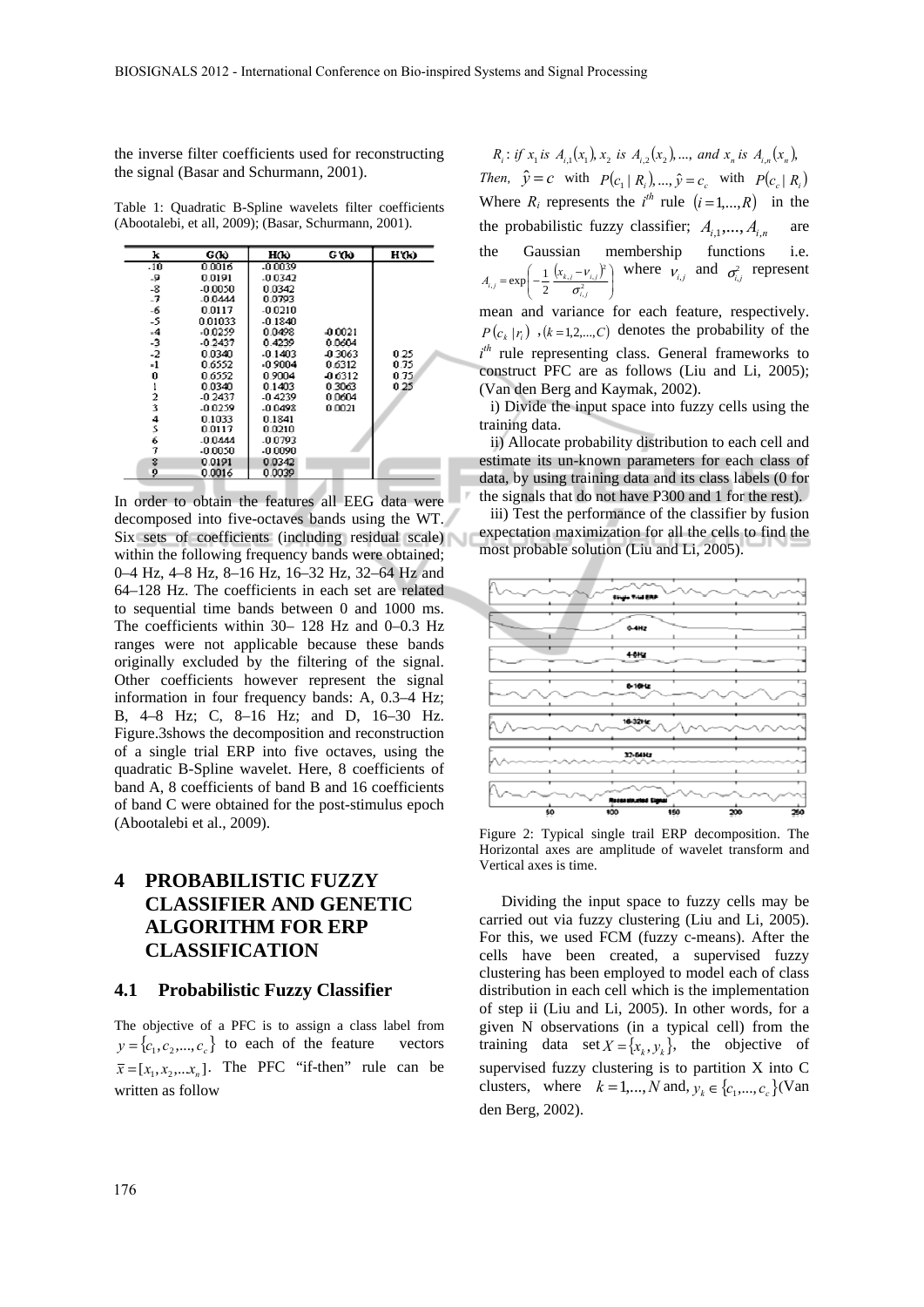the inverse filter coefficients used for reconstructing the signal (Basar and Schurmann, 2001).

Table 1: Quadratic B-Spline wavelets filter coefficients (Abootalebi, et all, 2009); (Basar, Schurmann, 2001).

| k              | GŒ        | HŒ        | G'OO      | Н'(к) |
|----------------|-----------|-----------|-----------|-------|
| $-10$          | 0.0016    | $-0.0039$ |           |       |
| -9             | 0.0191    | $-0.0342$ |           |       |
| $-8$           | $-0.0050$ | 0.0342    |           |       |
| $-7$           | $-0.0444$ | 0.0793    |           |       |
| -6             | 0.0117    | $-0.0210$ |           |       |
| -5             | 0.01033   | $-0.1840$ |           |       |
| $-4$           | $-0.0259$ | 0.0498    | $-0.0021$ |       |
| $\cdot$ 3      | $-0.2437$ | 0.4239    | 0.0604    |       |
| $-2$           | 0.0340    | $-0.1403$ | -0.3063   | 0.25  |
| $-1$           | 0.6552    | $-0.9004$ | 0.6312    | 0.75  |
| 0              | 0.6552    | 0.9004    | -0.6312   | 0.75  |
|                | 0.0340    | 0.1403    | 0.3063    | 0.25  |
| $\overline{a}$ | $-0.2437$ | $-0.4239$ | 0.0604    |       |
| 3              | $-0.0259$ | $-0.0498$ | 0.0021    |       |
| 4              | 0.1033    | 0.1841    |           |       |
| 5              | 0.0117    | 0.0210    |           |       |
| 6              | $-0.0444$ | $-0.0793$ |           |       |
| 7              | $-0.0050$ | $-0.0090$ |           |       |
| 8              | 0.0191    | 0.0342    |           |       |
| 9              | 0.0016    | 0.0039    |           |       |

In order to obtain the features all EEG data were decomposed into five-octaves bands using the WT. Six sets of coefficients (including residual scale) within the following frequency bands were obtained; 0–4 Hz, 4–8 Hz, 8–16 Hz, 16–32 Hz, 32–64 Hz and 64–128 Hz. The coefficients in each set are related to sequential time bands between 0 and 1000 ms. The coefficients within 30– 128 Hz and 0–0.3 Hz ranges were not applicable because these bands originally excluded by the filtering of the signal. Other coefficients however represent the signal information in four frequency bands: A, 0.3–4 Hz; B, 4–8 Hz; C, 8–16 Hz; and D, 16–30 Hz. Figure.3shows the decomposition and reconstruction of a single trial ERP into five octaves, using the quadratic B-Spline wavelet. Here, 8 coefficients of band A, 8 coefficients of band B and 16 coefficients of band C were obtained for the post-stimulus epoch (Abootalebi et al., 2009).

# **4 PROBABILISTIC FUZZY CLASSIFIER AND GENETIC ALGORITHM FOR ERP CLASSIFICATION**

#### **4.1 Probabilistic Fuzzy Classifier**

The objective of a PFC is to assign a class label from  $y = \{c_1, c_2, ..., c_n\}$  to each of the feature vectors  $\bar{x} = [x_1, x_2, \dots, x_n]$ . The PFC "if-then" rule can be written as follow

 $R_i$ : if  $x_i$  is  $A_{i,j}(x_1), x_2$  is  $A_{i,j}(x_2), ...,$  and  $x_n$  is  $A_{i,j}(x_n)$ , *Then*,  $\hat{y} = c$  with  $P(c_1 | R_1), ..., \hat{y} = c_c$  with  $P(c_2 | R_1)$ Where  $R_i$  represents the  $i^{th}$  rule  $(i = 1,..., R)$  in the the probabilistic fuzzy classifier;  $A_{i,1},..., A_{i,n}$  are the Gaussian membership functions i.e.  $(x_{k,i}-v_{i,j})$  $\overline{\phantom{a}}$ ⎠ ⎞  $\overline{\phantom{a}}$  $=\exp\left(-\frac{1}{2}\frac{(x_{k,j}-\sigma_{i,j})^2}{\sigma_{i,j}^2}\right)$  $\alpha_{i,j} = \exp\left(-\frac{1}{2}\frac{(x_{k,j} - v_{i,j})^2}{\sigma_{i,j}^2}\right)$  $\exp\left(-\frac{1}{2}\frac{(x_{k,j}-1)}{\sigma_{i,j}^2}\right)$  $A_{i,j} = \exp\left(-\frac{1}{2} \frac{(x_{k,j} - v_{i,j})^2}{\sigma^2}\right)$  where  $v_{i,j}$  and  $\sigma^2_{i,j}$  represent

mean and variance for each feature, respectively.  $P(c_k | r_i)$ ,  $(k = 1, 2, \dots, C)$  denotes the probability of the  $i<sup>th</sup>$  rule representing class. General frameworks to construct PFC are as follows (Liu and Li, 2005); (Van den Berg and Kaymak, 2002).

i) Divide the input space into fuzzy cells using the training data.

ii) Allocate probability distribution to each cell and estimate its un-known parameters for each class of data, by using training data and its class labels (0 for the signals that do not have P300 and 1 for the rest).

iii) Test the performance of the classifier by fusion expectation maximization for all the cells to find the most probable solution (Liu and Li, 2005).



Figure 2: Typical single trail ERP decomposition. The Horizontal axes are amplitude of wavelet transform and Vertical axes is time.

Dividing the input space to fuzzy cells may be carried out via fuzzy clustering (Liu and Li, 2005). For this, we used FCM (fuzzy c-means). After the cells have been created, a supervised fuzzy clustering has been employed to model each of class distribution in each cell which is the implementation of step ii (Liu and Li, 2005). In other words, for a given N observations (in a typical cell) from the training data set  $X = \{x_k, y_k\}$ , the objective of supervised fuzzy clustering is to partition X into C clusters, where  $k = 1, ..., N$  and,  $y_k \in \{c_1, ..., c_c\}$  (Van den Berg, 2002).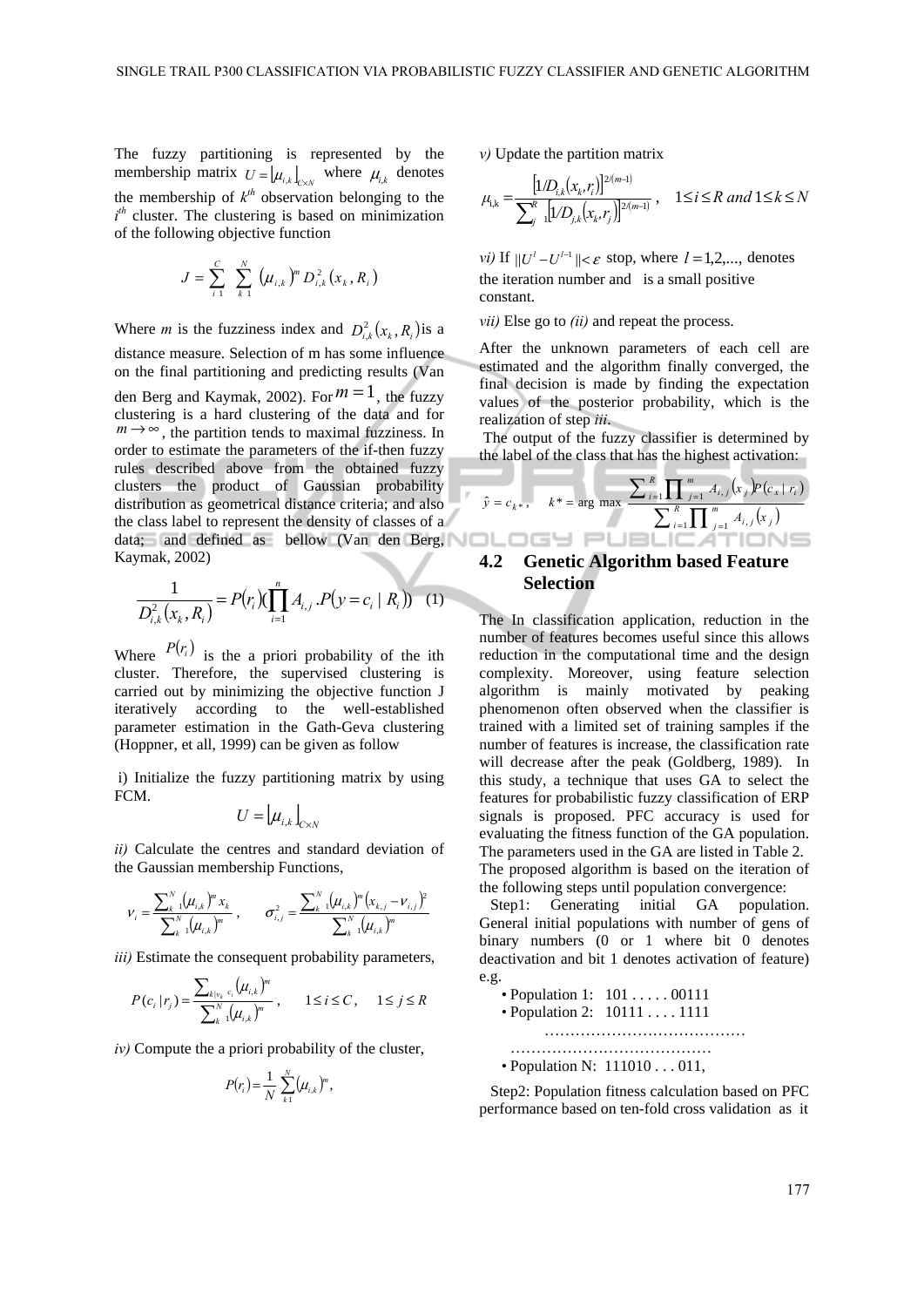The fuzzy partitioning is represented by the membership matrix  $U = [\mu_{i,k}]_{\infty}$  where  $\mu_{i,k}$  denotes the membership of  $k^{th}$  observation belonging to the *i th* cluster. The clustering is based on minimization of the following objective function

$$
J = \sum_{i=1}^{C} \sum_{k=1}^{N} (\mu_{i,k})^{m} D_{i,k}^{2}(x_{k}, R_{i})
$$

Where *m* is the fuzziness index and  $D_{i,k}^2(x_k, R_i)$  is a distance measure. Selection of m has some influence on the final partitioning and predicting results (Van den Berg and Kaymak, 2002). For  $m = 1$ , the fuzzy clustering is a hard clustering of the data and for  $m \rightarrow \infty$ , the partition tends to maximal fuzziness. In order to estimate the parameters of the if-then fuzzy rules described above from the obtained fuzzy clusters the product of Gaussian probability distribution as geometrical distance criteria; and also the class label to represent the density of classes of a data; and defined as bellow (Van den Berg, Kaymak, 2002)

$$
\frac{1}{D_{i,k}^{2}(x_{k},R_{i})}=P(r_{i})\left(\prod_{i=1}^{n}A_{i,j}.P(y=c_{i} | R_{i})\right)
$$
 (1)

Where  $P(r_i)$  is the a priori probability of the ith cluster. Therefore, the supervised clustering is carried out by minimizing the objective function J iteratively according to the well-established parameter estimation in the Gath-Geva clustering (Hoppner, et all, 1999) can be given as follow

 i) Initialize the fuzzy partitioning matrix by using FCM.

$$
U=\left\lfloor \mu_{i,k} \right\rfloor_{C\times N}
$$

*ii)* Calculate the centres and standard deviation of the Gaussian membership Functions,

$$
V_i = \frac{\sum_{k=1}^{N} (\mu_{i,k})^m x_k}{\sum_{k=1}^{N} (\mu_{i,k})^m}, \qquad \sigma_{i,j}^2 = \frac{\sum_{k=1}^{N} (\mu_{i,k})^m (x_{k,j} - v_{i,j})^2}{\sum_{k=1}^{N} (\mu_{i,k})^m}
$$

*iii)* Estimate the consequent probability parameters,

$$
P(c_i | r_j) = \frac{\sum_{k | v_k} c_i (\mu_{i,k})^m}{\sum_{k=1}^N (\mu_{i,k})^m}, \qquad 1 \le i \le C, \qquad 1 \le j \le R
$$

*iv)* Compute the a priori probability of the cluster,

$$
P(r_i) = \frac{1}{N} \sum_{k=1}^{N} (\mu_{i,k})^m,
$$

*v)* Update the partition matrix

$$
\mu_{i,k} = \frac{\left[1/D_{i,k}(x_k, r_i)\right]^{2(m-1)}}{\sum_{j=1}^{R} \left[1/D_{j,k}(x_k, r_j)\right]^{2(m-1)}}, \quad 1 \le i \le R \text{ and } 1 \le k \le N
$$

*vi*) If  $||U^l - U^{l-1}|| < \varepsilon$  stop, where  $l = 1, 2, \dots$ , denotes the iteration number and is a small positive constant.

*vii)* Else go to *(ii)* and repeat the process.

After the unknown parameters of each cell are estimated and the algorithm finally converged, the final decision is made by finding the expectation values of the posterior probability, which is the realization of step *iii*.

 The output of the fuzzy classifier is determined by the label of the class that has the highest activation:

$$
\hat{y} = c_{k^*}, \quad k^* = \arg \max \frac{\sum_{i=1}^R \prod_{j=1}^m A_{i,j}(x_j) P(c_x | r_i)}{\sum_{i=1}^R \prod_{j=1}^m A_{i,j}(x_j)}
$$

## **4.2 Genetic Algorithm based Feature Selection**

The In classification application, reduction in the number of features becomes useful since this allows reduction in the computational time and the design complexity. Moreover, using feature selection algorithm is mainly motivated by peaking phenomenon often observed when the classifier is trained with a limited set of training samples if the number of features is increase, the classification rate will decrease after the peak (Goldberg, 1989). In this study, a technique that uses GA to select the features for probabilistic fuzzy classification of ERP signals is proposed. PFC accuracy is used for evaluating the fitness function of the GA population. The parameters used in the GA are listed in Table 2. The proposed algorithm is based on the iteration of the following steps until population convergence:

Step1: Generating initial GA population. General initial populations with number of gens of binary numbers (0 or 1 where bit 0 denotes deactivation and bit 1 denotes activation of feature) e.g.

• Population 1: 101 . . . . . 00111 • Population 2: 10111 . . . . 1111 ………………………………… ………………………………… • Population N: 111010 . . . 011,

Step2: Population fitness calculation based on PFC performance based on ten-fold cross validation as it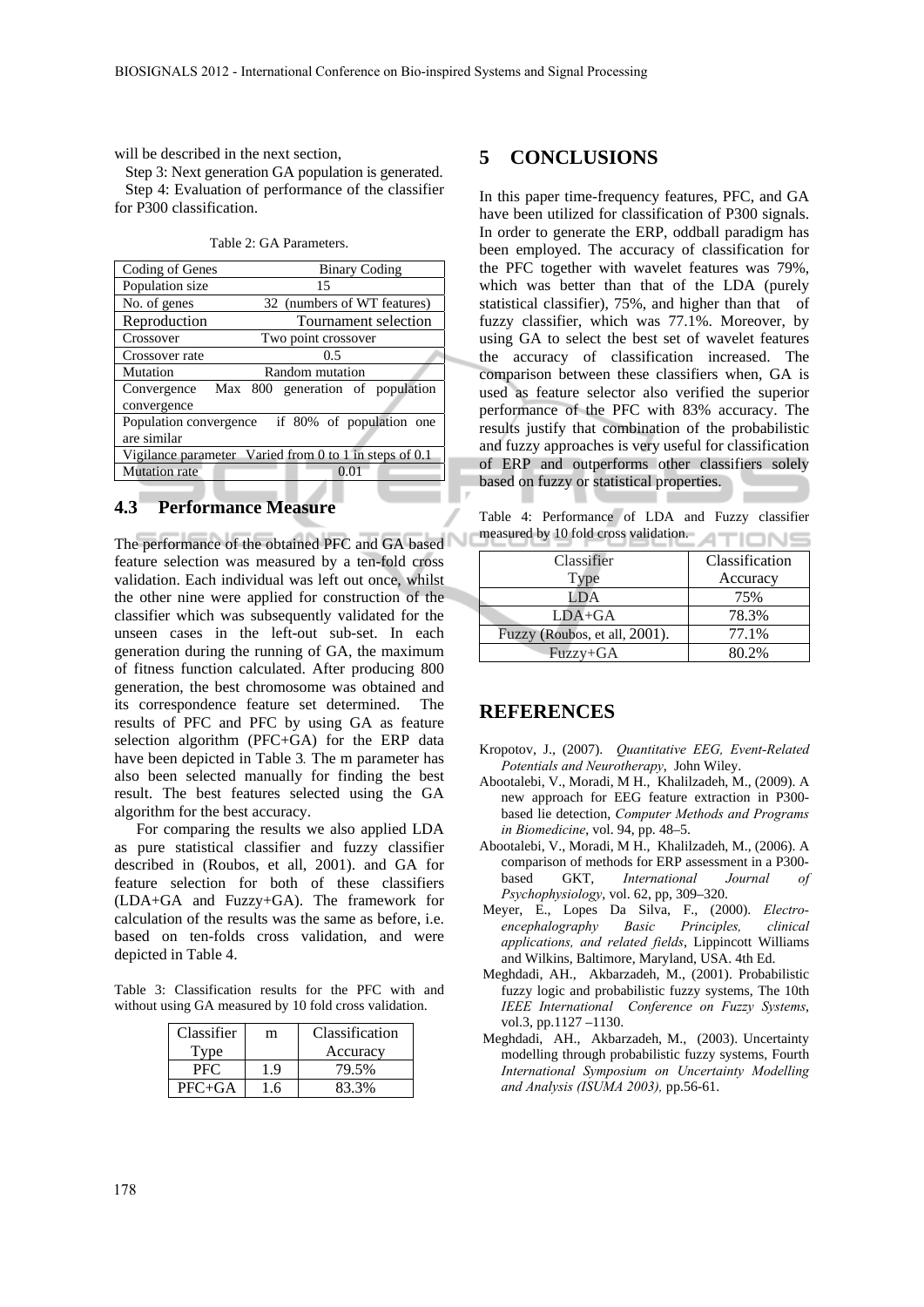will be described in the next section,

Step 3: Next generation GA population is generated. Step 4: Evaluation of performance of the classifier for P300 classification.

Table 2: GA Parameters.

| Coding of Genes                                                   | <b>Binary Coding</b>         |  |  |  |  |
|-------------------------------------------------------------------|------------------------------|--|--|--|--|
| Population size                                                   | 15                           |  |  |  |  |
| No. of genes                                                      | 32 (numbers of WT features)  |  |  |  |  |
| Reproduction                                                      | Tournament selection         |  |  |  |  |
| Crossover                                                         | Two point crossover          |  |  |  |  |
| Crossover rate                                                    | 0.5                          |  |  |  |  |
| Mutation                                                          | Random mutation              |  |  |  |  |
| Convergence<br>Max<br>convergence                                 | 800 generation of population |  |  |  |  |
| if 80% of population one<br>Population convergence<br>are similar |                              |  |  |  |  |
| Vigilance parameter Varied from $0$ to $1$ in steps of $0.1$      |                              |  |  |  |  |
| <b>Mutation</b> rate                                              |                              |  |  |  |  |

# **4.3 Performance Measure**

The performance of the obtained PFC and GA based feature selection was measured by a ten-fold cross validation. Each individual was left out once, whilst the other nine were applied for construction of the classifier which was subsequently validated for the unseen cases in the left-out sub-set. In each generation during the running of GA, the maximum of fitness function calculated. After producing 800 generation, the best chromosome was obtained and its correspondence feature set determined. The results of PFC and PFC by using GA as feature selection algorithm (PFC+GA) for the ERP data have been depicted in Table 3*.* The m parameter has also been selected manually for finding the best result. The best features selected using the GA algorithm for the best accuracy.

For comparing the results we also applied LDA as pure statistical classifier and fuzzy classifier described in (Roubos, et all, 2001). and GA for feature selection for both of these classifiers (LDA+GA and Fuzzy+GA). The framework for calculation of the results was the same as before, i.e. based on ten-folds cross validation, and were depicted in Table 4.

Table 3: Classification results for the PFC with and without using GA measured by 10 fold cross validation.

| Classifier   | m  | Classification |
|--------------|----|----------------|
| <i>s</i> vne |    | Accuracy       |
| PHC.         | J. | 79.5%          |
| $PFC+GA$     | -6 | 83.3%          |

# **5 CONCLUSIONS**

In this paper time-frequency features, PFC, and GA have been utilized for classification of P300 signals. In order to generate the ERP, oddball paradigm has been employed. The accuracy of classification for the PFC together with wavelet features was 79%, which was better than that of the LDA (purely statistical classifier), 75%, and higher than that of fuzzy classifier, which was 77.1%. Moreover, by using GA to select the best set of wavelet features the accuracy of classification increased. The comparison between these classifiers when, GA is used as feature selector also verified the superior performance of the PFC with 83% accuracy. The results justify that combination of the probabilistic and fuzzy approaches is very useful for classification of ERP and outperforms other classifiers solely based on fuzzy or statistical properties.

Table 4: Performance of LDA and Fuzzy classifier measured by 10 fold cross validation.

| Classifier                    | Classification |
|-------------------------------|----------------|
| Type                          | Accuracy       |
| LDA                           | 75%            |
| $LDA+GA$                      | 78.3%          |
| Fuzzy (Roubos, et all, 2001). | 77.1%          |
| $Fuzzy+GA$                    | 80.2%          |

### **REFERENCES**

- Kropotov, J., (2007). *Quantitative EEG, Event-Related Potentials and Neurotherapy*, John Wiley.
- Abootalebi, V., Moradi, M H., Khalilzadeh, M., (2009). A new approach for EEG feature extraction in P300 based lie detection, *Computer Methods and Programs in Biomedicine*, vol. 94, pp. 48–5.
- Abootalebi, V., Moradi, M H., Khalilzadeh, M., (2006). A comparison of methods for ERP assessment in a P300 based GKT, *International Journal of Psychophysiology*, vol. 62, pp, 309–320.
- Meyer, E., Lopes Da Silva, F., (2000). *Electroencephalography Basic Principles, clinical applications, and related fields*, Lippincott Williams and Wilkins, Baltimore, Maryland, USA. 4th Ed.
- Meghdadi, AH., Akbarzadeh, M., (2001). Probabilistic fuzzy logic and probabilistic fuzzy systems, The 10th *IEEE International Conference on Fuzzy Systems*, vol.3, pp.1127 –1130.
- Meghdadi, AH., Akbarzadeh, M., (2003). Uncertainty modelling through probabilistic fuzzy systems, Fourth *International Symposium on Uncertainty Modelling and Analysis (ISUMA 2003),* pp.56-61.